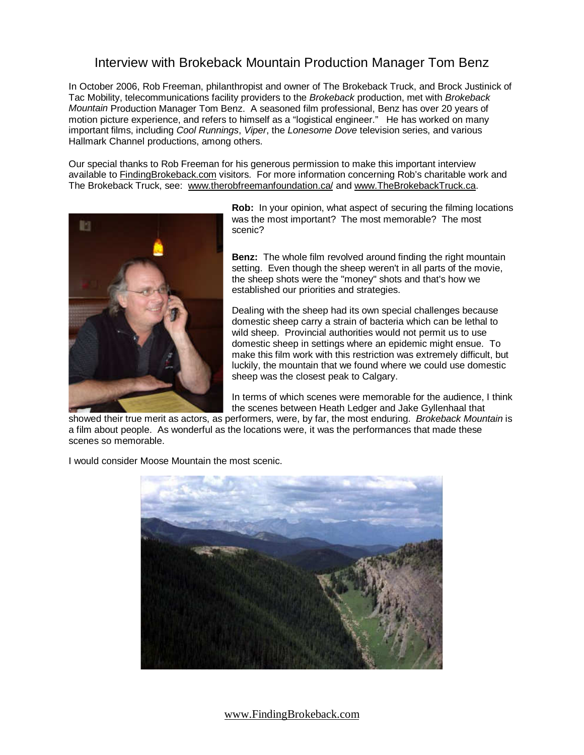## Interview with Brokeback Mountain Production Manager Tom Benz

In October 2006, Rob Freeman, philanthropist and owner of The Brokeback Truck, and Brock Justinick of Tac Mobility, telecommunications facility providers to the Brokeback production, met with Brokeback Mountain Production Manager Tom Benz. A seasoned film professional, Benz has over 20 years of motion picture experience, and refers to himself as a "logistical engineer." He has worked on many important films, including Cool Runnings, Viper, the Lonesome Dove television series, and various Hallmark Channel productions, among others.

Our special thanks to Rob Freeman for his generous permission to make this important interview available to FindingBrokeback.com visitors. For more information concerning Rob's charitable work and The Brokeback Truck, see: www.therobfreemanfoundation.ca/ and www.TheBrokebackTruck.ca.



**Rob:** In your opinion, what aspect of securing the filming locations was the most important? The most memorable? The most scenic?

**Benz:** The whole film revolved around finding the right mountain setting. Even though the sheep weren't in all parts of the movie, the sheep shots were the "money" shots and that's how we established our priorities and strategies.

Dealing with the sheep had its own special challenges because domestic sheep carry a strain of bacteria which can be lethal to wild sheep. Provincial authorities would not permit us to use domestic sheep in settings where an epidemic might ensue. To make this film work with this restriction was extremely difficult, but luckily, the mountain that we found where we could use domestic sheep was the closest peak to Calgary.

In terms of which scenes were memorable for the audience, I think the scenes between Heath Ledger and Jake Gyllenhaal that

showed their true merit as actors, as performers, were, by far, the most enduring. Brokeback Mountain is a film about people. As wonderful as the locations were, it was the performances that made these scenes so memorable.

I would consider Moose Mountain the most scenic.



www.FindingBrokeback.com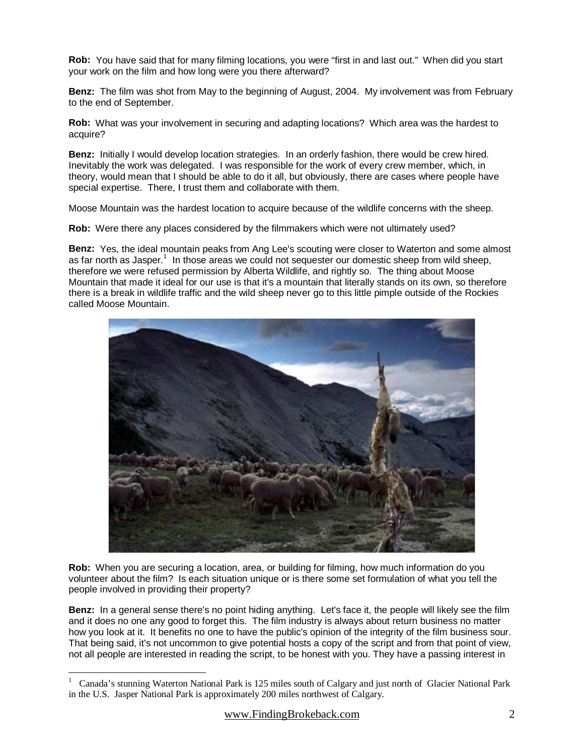**Rob:** You have said that for many filming locations, you were "first in and last out." When did you start your work on the film and how long were you there afterward?

**Benz:** The film was shot from May to the beginning of August, 2004. My involvement was from February to the end of September.

**Rob:** What was your involvement in securing and adapting locations? Which area was the hardest to acquire?

**Benz:** Initially I would develop location strategies. In an orderly fashion, there would be crew hired. Inevitably the work was delegated. I was responsible for the work of every crew member, which, in theory, would mean that I should be able to do it all, but obviously, there are cases where people have special expertise. There, I trust them and collaborate with them.

Moose Mountain was the hardest location to acquire because of the wildlife concerns with the sheep.

**Rob:** Were there any places considered by the filmmakers which were not ultimately used?

**Benz:** Yes, the ideal mountain peaks from Ang Lee's scouting were closer to Waterton and some almost as far north as Jasper.<sup>1</sup> In those areas we could not sequester our domestic sheep from wild sheep, therefore we were refused permission by Alberta Wildlife, and rightly so. The thing about Moose Mountain that made it ideal for our use is that it's a mountain that literally stands on its own, so therefore there is a break in wildlife traffic and the wild sheep never go to this little pimple outside of the Rockies called Moose Mountain.



**Rob:** When you are securing a location, area, or building for filming, how much information do you volunteer about the film? Is each situation unique or is there some set formulation of what you tell the people involved in providing their property?

**Benz:** In a general sense there's no point hiding anything. Let's face it, the people will likely see the film and it does no one any good to forget this. The film industry is always about return business no matter how you look at it. It benefits no one to have the public's opinion of the integrity of the film business sour. That being said, it's not uncommon to give potential hosts a copy of the script and from that point of view, not all people are interested in reading the script, to be honest with you. They have a passing interest in

 $\overline{a}$ 

<sup>1</sup> Canada's stunning Waterton National Park is 125 miles south of Calgary and just north of Glacier National Park in the U.S. Jasper National Park is approximately 200 miles northwest of Calgary.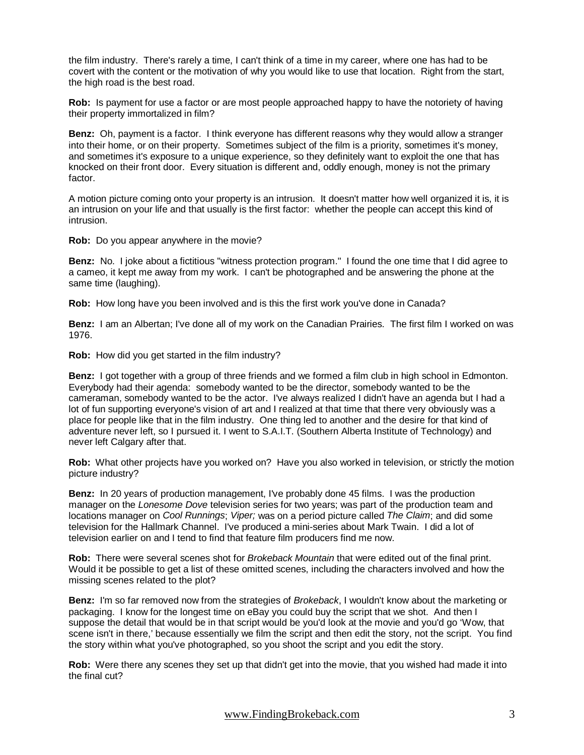the film industry. There's rarely a time, I can't think of a time in my career, where one has had to be covert with the content or the motivation of why you would like to use that location. Right from the start, the high road is the best road.

**Rob:** Is payment for use a factor or are most people approached happy to have the notoriety of having their property immortalized in film?

**Benz:** Oh, payment is a factor. I think everyone has different reasons why they would allow a stranger into their home, or on their property. Sometimes subject of the film is a priority, sometimes it's money, and sometimes it's exposure to a unique experience, so they definitely want to exploit the one that has knocked on their front door. Every situation is different and, oddly enough, money is not the primary factor.

A motion picture coming onto your property is an intrusion. It doesn't matter how well organized it is, it is an intrusion on your life and that usually is the first factor: whether the people can accept this kind of intrusion.

**Rob:** Do you appear anywhere in the movie?

**Benz:** No. I joke about a fictitious "witness protection program." I found the one time that I did agree to a cameo, it kept me away from my work. I can't be photographed and be answering the phone at the same time (laughing).

**Rob:** How long have you been involved and is this the first work you've done in Canada?

**Benz:** I am an Albertan; I've done all of my work on the Canadian Prairies. The first film I worked on was 1976.

**Rob:** How did you get started in the film industry?

**Benz:** I got together with a group of three friends and we formed a film club in high school in Edmonton. Everybody had their agenda: somebody wanted to be the director, somebody wanted to be the cameraman, somebody wanted to be the actor. I've always realized I didn't have an agenda but I had a lot of fun supporting everyone's vision of art and I realized at that time that there very obviously was a place for people like that in the film industry. One thing led to another and the desire for that kind of adventure never left, so I pursued it. I went to S.A.I.T. (Southern Alberta Institute of Technology) and never left Calgary after that.

**Rob:** What other projects have you worked on? Have you also worked in television, or strictly the motion picture industry?

**Benz:** In 20 years of production management, I've probably done 45 films. I was the production manager on the Lonesome Dove television series for two years; was part of the production team and locations manager on *Cool Runnings; Viper;* was on a period picture called *The Claim*; and did some television for the Hallmark Channel. I've produced a mini-series about Mark Twain. I did a lot of television earlier on and I tend to find that feature film producers find me now.

**Rob:** There were several scenes shot for Brokeback Mountain that were edited out of the final print. Would it be possible to get a list of these omitted scenes, including the characters involved and how the missing scenes related to the plot?

**Benz:** I'm so far removed now from the strategies of Brokeback, I wouldn't know about the marketing or packaging. I know for the longest time on eBay you could buy the script that we shot. And then I suppose the detail that would be in that script would be you'd look at the movie and you'd go 'Wow, that scene isn't in there,' because essentially we film the script and then edit the story, not the script. You find the story within what you've photographed, so you shoot the script and you edit the story.

**Rob:** Were there any scenes they set up that didn't get into the movie, that you wished had made it into the final cut?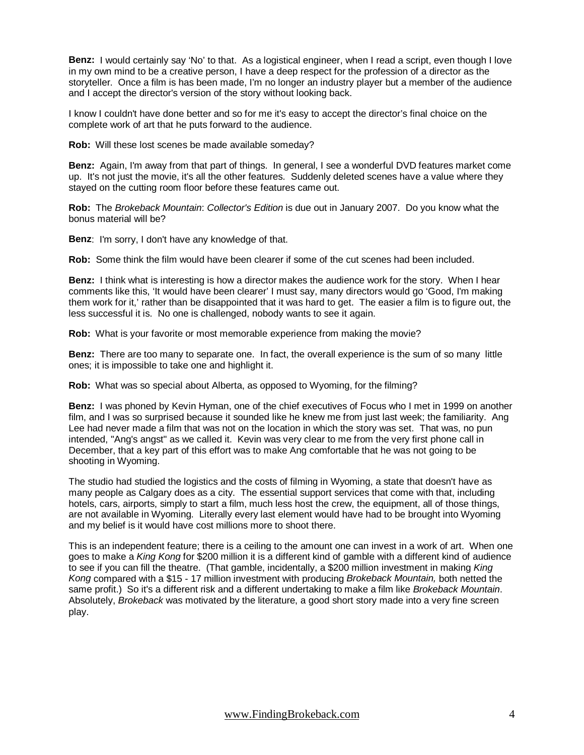**Benz:** I would certainly say 'No' to that. As a logistical engineer, when I read a script, even though I love in my own mind to be a creative person, I have a deep respect for the profession of a director as the storyteller. Once a film is has been made, I'm no longer an industry player but a member of the audience and I accept the director's version of the story without looking back.

I know I couldn't have done better and so for me it's easy to accept the director's final choice on the complete work of art that he puts forward to the audience.

**Rob:** Will these lost scenes be made available someday?

**Benz:** Again, I'm away from that part of things. In general, I see a wonderful DVD features market come up. It's not just the movie, it's all the other features. Suddenly deleted scenes have a value where they stayed on the cutting room floor before these features came out.

**Rob:** The Brokeback Mountain: Collector's Edition is due out in January 2007. Do you know what the bonus material will be?

**Benz**: I'm sorry, I don't have any knowledge of that.

**Rob:** Some think the film would have been clearer if some of the cut scenes had been included.

**Benz:** I think what is interesting is how a director makes the audience work for the story. When I hear comments like this, 'It would have been clearer' I must say, many directors would go 'Good, I'm making them work for it,' rather than be disappointed that it was hard to get. The easier a film is to figure out, the less successful it is. No one is challenged, nobody wants to see it again.

**Rob:** What is your favorite or most memorable experience from making the movie?

**Benz:** There are too many to separate one. In fact, the overall experience is the sum of so many little ones; it is impossible to take one and highlight it.

**Rob:** What was so special about Alberta, as opposed to Wyoming, for the filming?

**Benz:** I was phoned by Kevin Hyman, one of the chief executives of Focus who I met in 1999 on another film, and I was so surprised because it sounded like he knew me from just last week; the familiarity. Ang Lee had never made a film that was not on the location in which the story was set. That was, no pun intended, "Ang's angst" as we called it. Kevin was very clear to me from the very first phone call in December, that a key part of this effort was to make Ang comfortable that he was not going to be shooting in Wyoming.

The studio had studied the logistics and the costs of filming in Wyoming, a state that doesn't have as many people as Calgary does as a city. The essential support services that come with that, including hotels, cars, airports, simply to start a film, much less host the crew, the equipment, all of those things, are not available in Wyoming. Literally every last element would have had to be brought into Wyoming and my belief is it would have cost millions more to shoot there.

This is an independent feature; there is a ceiling to the amount one can invest in a work of art. When one goes to make a King Kong for \$200 million it is a different kind of gamble with a different kind of audience to see if you can fill the theatre. (That gamble, incidentally, a \$200 million investment in making King Kong compared with a \$15 - 17 million investment with producing Brokeback Mountain, both netted the same profit.) So it's a different risk and a different undertaking to make a film like Brokeback Mountain. Absolutely, Brokeback was motivated by the literature, a good short story made into a very fine screen play.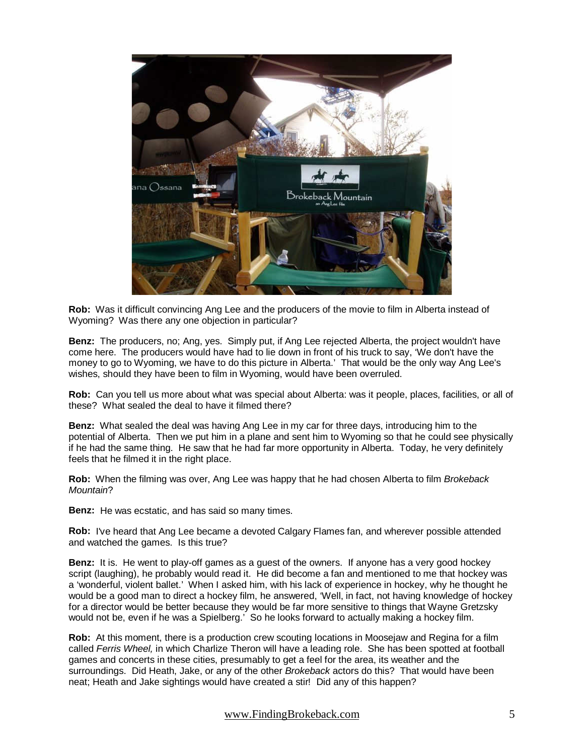

**Rob:** Was it difficult convincing Ang Lee and the producers of the movie to film in Alberta instead of Wyoming? Was there any one objection in particular?

**Benz:** The producers, no; Ang, yes. Simply put, if Ang Lee rejected Alberta, the project wouldn't have come here. The producers would have had to lie down in front of his truck to say, 'We don't have the money to go to Wyoming, we have to do this picture in Alberta.' That would be the only way Ang Lee's wishes, should they have been to film in Wyoming, would have been overruled.

**Rob:** Can you tell us more about what was special about Alberta: was it people, places, facilities, or all of these? What sealed the deal to have it filmed there?

**Benz:** What sealed the deal was having Ang Lee in my car for three days, introducing him to the potential of Alberta. Then we put him in a plane and sent him to Wyoming so that he could see physically if he had the same thing. He saw that he had far more opportunity in Alberta. Today, he very definitely feels that he filmed it in the right place.

**Rob:** When the filming was over, Ang Lee was happy that he had chosen Alberta to film Brokeback Mountain?

**Benz:** He was ecstatic, and has said so many times.

**Rob:** I've heard that Ang Lee became a devoted Calgary Flames fan, and wherever possible attended and watched the games. Is this true?

**Benz:** It is. He went to play-off games as a guest of the owners. If anyone has a very good hockey script (laughing), he probably would read it. He did become a fan and mentioned to me that hockey was a 'wonderful, violent ballet.' When I asked him, with his lack of experience in hockey, why he thought he would be a good man to direct a hockey film, he answered, 'Well, in fact, not having knowledge of hockey for a director would be better because they would be far more sensitive to things that Wayne Gretzsky would not be, even if he was a Spielberg.' So he looks forward to actually making a hockey film.

**Rob:** At this moment, there is a production crew scouting locations in Moosejaw and Regina for a film called Ferris Wheel, in which Charlize Theron will have a leading role. She has been spotted at football games and concerts in these cities, presumably to get a feel for the area, its weather and the surroundings. Did Heath, Jake, or any of the other Brokeback actors do this? That would have been neat; Heath and Jake sightings would have created a stir! Did any of this happen?

www.FindingBrokeback.com 5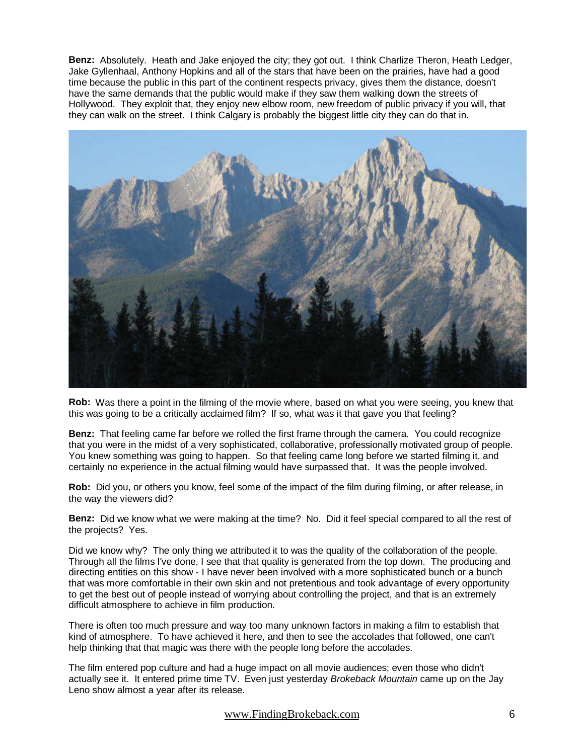**Benz:** Absolutely. Heath and Jake enjoyed the city; they got out. I think Charlize Theron, Heath Ledger, Jake Gyllenhaal, Anthony Hopkins and all of the stars that have been on the prairies, have had a good time because the public in this part of the continent respects privacy, gives them the distance, doesn't have the same demands that the public would make if they saw them walking down the streets of Hollywood. They exploit that, they enjoy new elbow room, new freedom of public privacy if you will, that they can walk on the street. I think Calgary is probably the biggest little city they can do that in.



**Rob:** Was there a point in the filming of the movie where, based on what you were seeing, you knew that this was going to be a critically acclaimed film? If so, what was it that gave you that feeling?

**Benz:** That feeling came far before we rolled the first frame through the camera. You could recognize that you were in the midst of a very sophisticated, collaborative, professionally motivated group of people. You knew something was going to happen. So that feeling came long before we started filming it, and certainly no experience in the actual filming would have surpassed that. It was the people involved.

**Rob:** Did you, or others you know, feel some of the impact of the film during filming, or after release, in the way the viewers did?

**Benz:** Did we know what we were making at the time? No. Did it feel special compared to all the rest of the projects? Yes.

Did we know why? The only thing we attributed it to was the quality of the collaboration of the people. Through all the films I've done, I see that that quality is generated from the top down. The producing and directing entities on this show - I have never been involved with a more sophisticated bunch or a bunch that was more comfortable in their own skin and not pretentious and took advantage of every opportunity to get the best out of people instead of worrying about controlling the project, and that is an extremely difficult atmosphere to achieve in film production.

There is often too much pressure and way too many unknown factors in making a film to establish that kind of atmosphere. To have achieved it here, and then to see the accolades that followed, one can't help thinking that that magic was there with the people long before the accolades.

The film entered pop culture and had a huge impact on all movie audiences; even those who didn't actually see it. It entered prime time TV. Even just yesterday Brokeback Mountain came up on the Jay Leno show almost a year after its release.

www.FindingBrokeback.com 6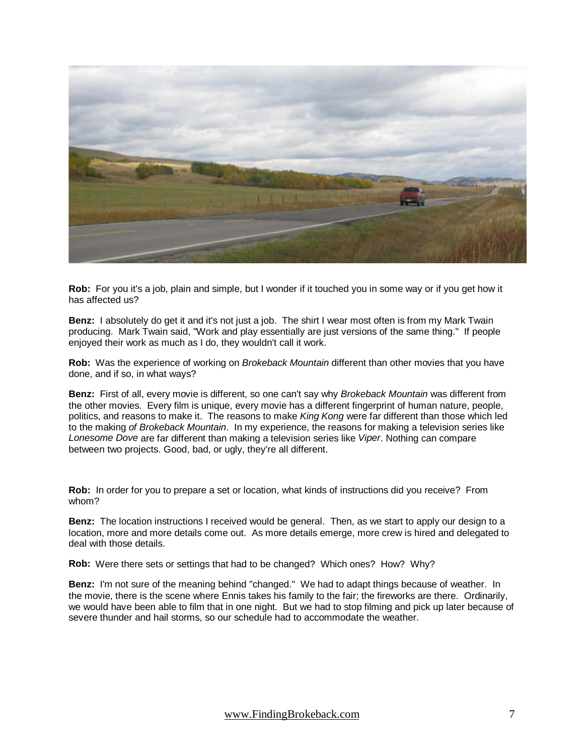

**Rob:** For you it's a job, plain and simple, but I wonder if it touched you in some way or if you get how it has affected us?

**Benz:** I absolutely do get it and it's not just a job. The shirt I wear most often is from my Mark Twain producing. Mark Twain said, "Work and play essentially are just versions of the same thing." If people enjoyed their work as much as I do, they wouldn't call it work.

**Rob:** Was the experience of working on Brokeback Mountain different than other movies that you have done, and if so, in what ways?

**Benz:** First of all, every movie is different, so one can't say why Brokeback Mountain was different from the other movies. Every film is unique, every movie has a different fingerprint of human nature, people, politics, and reasons to make it. The reasons to make King Kong were far different than those which led to the making of Brokeback Mountain. In my experience, the reasons for making a television series like Lonesome Dove are far different than making a television series like Viper. Nothing can compare between two projects. Good, bad, or ugly, they're all different.

**Rob:** In order for you to prepare a set or location, what kinds of instructions did you receive? From whom?

**Benz:** The location instructions I received would be general. Then, as we start to apply our design to a location, more and more details come out. As more details emerge, more crew is hired and delegated to deal with those details.

**Rob:** Were there sets or settings that had to be changed? Which ones? How? Why?

**Benz:** I'm not sure of the meaning behind "changed." We had to adapt things because of weather. In the movie, there is the scene where Ennis takes his family to the fair; the fireworks are there. Ordinarily, we would have been able to film that in one night. But we had to stop filming and pick up later because of severe thunder and hail storms, so our schedule had to accommodate the weather.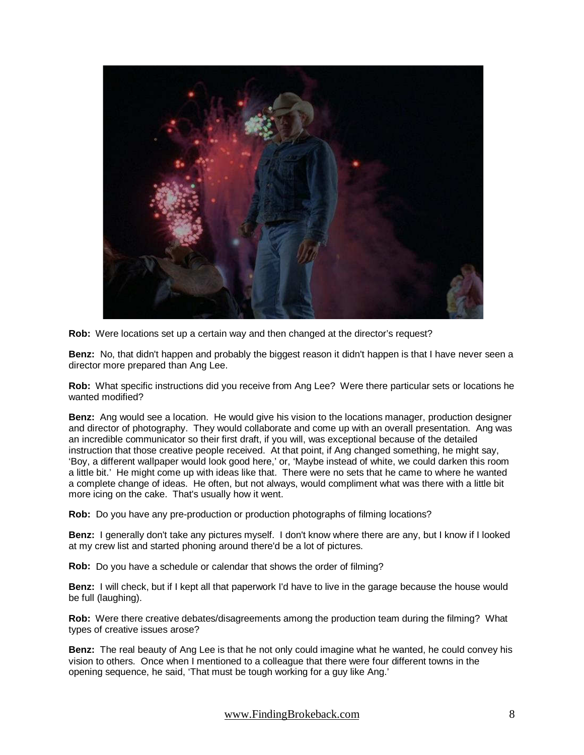

**Rob:** Were locations set up a certain way and then changed at the director's request?

**Benz:** No, that didn't happen and probably the biggest reason it didn't happen is that I have never seen a director more prepared than Ang Lee.

**Rob:** What specific instructions did you receive from Ang Lee? Were there particular sets or locations he wanted modified?

**Benz:** Ang would see a location. He would give his vision to the locations manager, production designer and director of photography. They would collaborate and come up with an overall presentation. Ang was an incredible communicator so their first draft, if you will, was exceptional because of the detailed instruction that those creative people received. At that point, if Ang changed something, he might say, 'Boy, a different wallpaper would look good here,' or, 'Maybe instead of white, we could darken this room a little bit.' He might come up with ideas like that. There were no sets that he came to where he wanted a complete change of ideas. He often, but not always, would compliment what was there with a little bit more icing on the cake. That's usually how it went.

**Rob:** Do you have any pre-production or production photographs of filming locations?

**Benz:** I generally don't take any pictures myself. I don't know where there are any, but I know if I looked at my crew list and started phoning around there'd be a lot of pictures.

**Rob:** Do you have a schedule or calendar that shows the order of filming?

**Benz:** I will check, but if I kept all that paperwork I'd have to live in the garage because the house would be full (laughing).

**Rob:** Were there creative debates/disagreements among the production team during the filming? What types of creative issues arose?

**Benz:** The real beauty of Ang Lee is that he not only could imagine what he wanted, he could convey his vision to others. Once when I mentioned to a colleague that there were four different towns in the opening sequence, he said, 'That must be tough working for a guy like Ang.'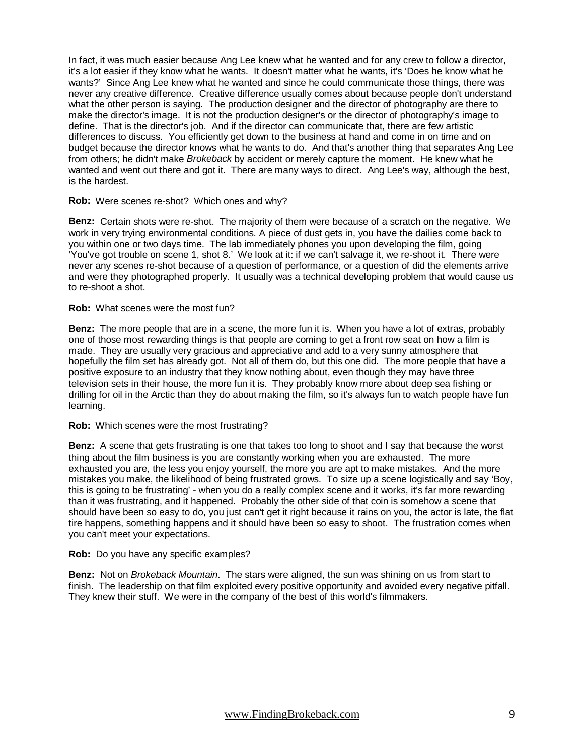In fact, it was much easier because Ang Lee knew what he wanted and for any crew to follow a director, it's a lot easier if they know what he wants. It doesn't matter what he wants, it's 'Does he know what he wants?' Since Ang Lee knew what he wanted and since he could communicate those things, there was never any creative difference. Creative difference usually comes about because people don't understand what the other person is saying. The production designer and the director of photography are there to make the director's image. It is not the production designer's or the director of photography's image to define. That is the director's job. And if the director can communicate that, there are few artistic differences to discuss. You efficiently get down to the business at hand and come in on time and on budget because the director knows what he wants to do. And that's another thing that separates Ang Lee from others; he didn't make Brokeback by accident or merely capture the moment. He knew what he wanted and went out there and got it. There are many ways to direct. Ang Lee's way, although the best, is the hardest.

**Rob:** Were scenes re-shot? Which ones and why?

**Benz:** Certain shots were re-shot. The majority of them were because of a scratch on the negative. We work in very trying environmental conditions. A piece of dust gets in, you have the dailies come back to you within one or two days time. The lab immediately phones you upon developing the film, going 'You've got trouble on scene 1, shot 8.' We look at it: if we can't salvage it, we re-shoot it. There were never any scenes re-shot because of a question of performance, or a question of did the elements arrive and were they photographed properly. It usually was a technical developing problem that would cause us to re-shoot a shot.

**Rob:** What scenes were the most fun?

**Benz:** The more people that are in a scene, the more fun it is. When you have a lot of extras, probably one of those most rewarding things is that people are coming to get a front row seat on how a film is made. They are usually very gracious and appreciative and add to a very sunny atmosphere that hopefully the film set has already got. Not all of them do, but this one did. The more people that have a positive exposure to an industry that they know nothing about, even though they may have three television sets in their house, the more fun it is. They probably know more about deep sea fishing or drilling for oil in the Arctic than they do about making the film, so it's always fun to watch people have fun learning.

**Rob:** Which scenes were the most frustrating?

**Benz:** A scene that gets frustrating is one that takes too long to shoot and I say that because the worst thing about the film business is you are constantly working when you are exhausted. The more exhausted you are, the less you enjoy yourself, the more you are apt to make mistakes. And the more mistakes you make, the likelihood of being frustrated grows. To size up a scene logistically and say 'Boy, this is going to be frustrating' - when you do a really complex scene and it works, it's far more rewarding than it was frustrating, and it happened. Probably the other side of that coin is somehow a scene that should have been so easy to do, you just can't get it right because it rains on you, the actor is late, the flat tire happens, something happens and it should have been so easy to shoot. The frustration comes when you can't meet your expectations.

**Rob:** Do you have any specific examples?

**Benz:** Not on Brokeback Mountain. The stars were aligned, the sun was shining on us from start to finish. The leadership on that film exploited every positive opportunity and avoided every negative pitfall. They knew their stuff. We were in the company of the best of this world's filmmakers.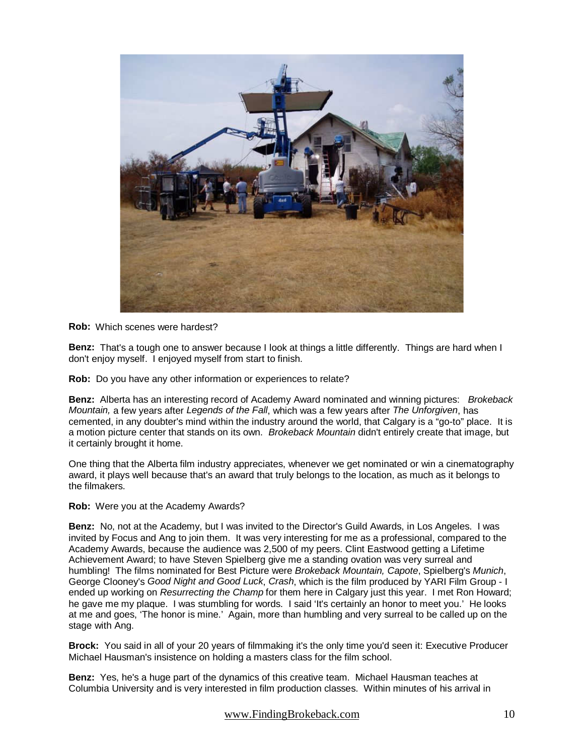

**Rob:** Which scenes were hardest?

**Benz:** That's a tough one to answer because I look at things a little differently. Things are hard when I don't enjoy myself. I enjoyed myself from start to finish.

**Rob:** Do you have any other information or experiences to relate?

**Benz:** Alberta has an interesting record of Academy Award nominated and winning pictures: Brokeback Mountain, a few years after Legends of the Fall, which was a few years after The Unforgiven, has cemented, in any doubter's mind within the industry around the world, that Calgary is a "go-to" place. It is a motion picture center that stands on its own. Brokeback Mountain didn't entirely create that image, but it certainly brought it home.

One thing that the Alberta film industry appreciates, whenever we get nominated or win a cinematography award, it plays well because that's an award that truly belongs to the location, as much as it belongs to the filmakers.

**Rob:** Were you at the Academy Awards?

**Benz:** No, not at the Academy, but I was invited to the Director's Guild Awards, in Los Angeles. I was invited by Focus and Ang to join them. It was very interesting for me as a professional, compared to the Academy Awards, because the audience was 2,500 of my peers. Clint Eastwood getting a Lifetime Achievement Award; to have Steven Spielberg give me a standing ovation was very surreal and humbling! The films nominated for Best Picture were Brokeback Mountain, Capote, Spielberg's Munich, George Clooney's Good Night and Good Luck, Crash, which is the film produced by YARI Film Group - I ended up working on Resurrecting the Champ for them here in Calgary just this year. I met Ron Howard; he gave me my plaque. I was stumbling for words. I said 'It's certainly an honor to meet you.' He looks at me and goes, 'The honor is mine.' Again, more than humbling and very surreal to be called up on the stage with Ang.

**Brock:** You said in all of your 20 years of filmmaking it's the only time you'd seen it: Executive Producer Michael Hausman's insistence on holding a masters class for the film school.

**Benz:** Yes, he's a huge part of the dynamics of this creative team. Michael Hausman teaches at Columbia University and is very interested in film production classes. Within minutes of his arrival in